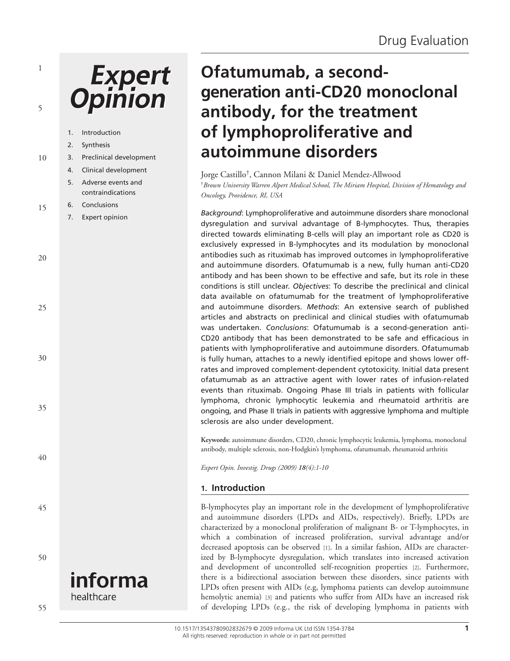# **Expert**<br>Opinion

1

5

|    | 1. | Introduction            |
|----|----|-------------------------|
|    | 2. | Synthesis               |
| 10 | 3. | Preclinical development |
|    | 4. | Clinical development    |
|    | 5. | Adverse events and      |
|    |    | contraindications       |
| 15 | 6. | Conclusions             |
|    | 7. | Expert opinion          |
|    |    |                         |
|    |    |                         |
| 20 |    |                         |
|    |    |                         |
|    |    |                         |
|    |    |                         |
| 25 |    |                         |
|    |    |                         |
|    |    |                         |
|    |    |                         |
| 30 |    |                         |
|    |    |                         |
|    |    |                         |
|    |    |                         |
| 35 |    |                         |
|    |    |                         |
|    |    |                         |
| 40 |    |                         |
|    |    |                         |
|    |    |                         |
|    |    |                         |
| 45 |    |                         |
|    |    |                         |
|    |    |                         |
|    |    |                         |
| 50 |    |                         |
|    |    |                         |
|    |    | informa                 |
|    |    | healthcare              |

# **Ofatumumab, a secondgeneration anti-CD20 monoclonal antibody, for the treatment of lymphoproliferative and autoimmune disorders**

Jorge Castillo†, Cannon Milani & Daniel Mendez-Allwood

†*Brown University Warren Alpert Medical School, The Miriam Hospital, Division of Hematology and Oncology, Providence, RI, USA*

*Background*: Lymphoproliferative and autoimmune disorders share monoclonal dysregulation and survival advantage of B-lymphocytes. Thus, therapies directed towards eliminating B-cells will play an important role as CD20 is exclusively expressed in B-lymphocytes and its modulation by monoclonal antibodies such as rituximab has improved outcomes in lymphoproliferative and autoimmune disorders. Ofatumumab is a new, fully human anti-CD20 antibody and has been shown to be effective and safe, but its role in these conditions is still unclear. *Objectives*: To describe the preclinical and clinical data available on ofatumumab for the treatment of lymphoproliferative and autoimmune disorders. *Methods*: An extensive search of published articles and abstracts on preclinical and clinical studies with ofatumumab was undertaken. *Conclusions*: Ofatumumab is a second-generation anti-CD20 antibody that has been demonstrated to be safe and efficacious in patients with lymphoproliferative and autoimmune disorders. Ofatumumab is fully human, attaches to a newly identified epitope and shows lower offrates and improved complement-dependent cytotoxicity. Initial data present ofatumumab as an attractive agent with lower rates of infusion-related events than rituximab. Ongoing Phase III trials in patients with follicular lymphoma, chronic lymphocytic leukemia and rheumatoid arthritis are ongoing, and Phase II trials in patients with aggressive lymphoma and multiple sclerosis are also under development.

**Keywords:** autoimmune disorders, CD20, chronic lymphocytic leukemia, lymphoma, monoclonal antibody, multiple sclerosis, non-Hodgkin's lymphoma, ofatumumab, rheumatoid arthritis

*Expert Opin. Investig. Drugs (2009) 18(4):1-10*

# **1. Introduction**

B-lymphocytes play an important role in the development of lymphoproliferative and autoimmune disorders (LPDs and AIDs, respectively). Briefly, LPDs are characterized by a monoclonal proliferation of malignant B- or T-lymphocytes, in which a combination of increased proliferation, survival advantage and/or decreased apoptosis can be observed [1]. In a similar fashion, AIDs are characterized by B-lymphocyte dysregulation, which translates into increased activation and development of uncontrolled self-recognition properties [2]. Furthermore, there is a bidirectional association between these disorders, since patients with LPDs often present with AIDs (e.g, lymphoma patients can develop autoimmune hemolytic anemia) [3] and patients who suffer from AIDs have an increased risk of developing LPDs (e.g., the risk of developing lymphoma in patients with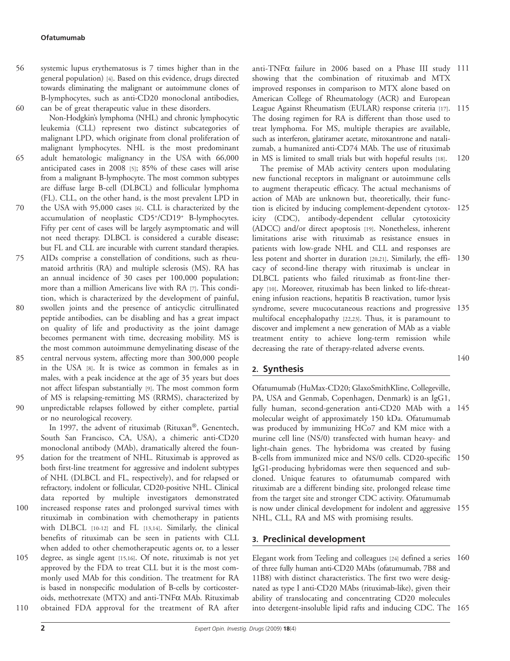- systemic lupus erythematosus is 7 times higher than in the general population) [4]. Based on this evidence, drugs directed towards eliminating the malignant or autoimmune clones of B-lymphocytes, such as anti-CD20 monoclonal antibodies, can be of great therapeutic value in these disorders. 56 60
- Non-Hodgkin's lymphoma (NHL) and chronic lymphocytic leukemia (CLL) represent two distinct subcategories of malignant LPD, which originate from clonal proliferation of malignant lymphocytes. NHL is the most predominant adult hematologic malignancy in the USA with 66,000 anticipated cases in 2008 [5]; 85% of these cases will arise from a malignant B-lymphocyte. The most common subtypes are diffuse large B-cell (DLBCL) and follicular lymphoma (FL). CLL, on the other hand, is the most prevalent LPD in the USA with 95,000 cases [6]. CLL is characterized by the 65 70
- accumulation of neoplastic CD5+/CD19+ B-lymphocytes. Fifty per cent of cases will be largely asymptomatic and will not need therapy. DLBCL is considered a curable disease; but FL and CLL are incurable with current standard therapies.
- AIDs comprise a constellation of conditions, such as rheumatoid arthritis (RA) and multiple sclerosis (MS). RA has an annual incidence of 30 cases per 100,000 population; more than a million Americans live with RA [7]. This condition, which is characterized by the development of painful, swollen joints and the presence of anticyclic citrullinated peptide antibodies, can be disabling and has a great impact on quality of life and productivity as the joint damage becomes permanent with time, decreasing mobility. MS is the most common autoimmune demyelinating disease of the central nervous system, affecting more than 300,000 people 75 80 85
- in the USA [8]. It is twice as common in females as in males, with a peak incidence at the age of 35 years but does not affect lifespan substantially [9]. The most common form of MS is relapsing-remitting MS (RRMS), characterized by unpredictable relapses followed by either complete, partial or no neurological recovery. 90

In 1997, the advent of rituximab (Rituxan®, Genentech, South San Francisco, CA, USA), a chimeric anti-CD20 monoclonal antibody (MAb), dramatically altered the foundation for the treatment of NHL. Rituximab is approved as both first-line treatment for aggressive and indolent subtypes of NHL (DLBCL and FL, respectively), and for relapsed or refractory, indolent or follicular, CD20-positive NHL. Clinical data reported by multiple investigators demonstrated increased response rates and prolonged survival times with rituximab in combination with chemotherapy in patients with DLBCL [10-12] and FL [13,14]. Similarly, the clinical benefits of rituximab can be seen in patients with CLL when added to other chemotherapeutic agents or, to a lesser 95 100

degree, as single agent [15,16]. Of note, rituximab is not yet approved by the FDA to treat CLL but it is the most commonly used MAb for this condition. The treatment for RA is based in nonspecific modulation of B-cells by corticosteroids, methotrexate (MTX) and anti-TNF $\alpha$  MAb. Rituximab obtained FDA approval for the treatment of RA after 105 110

anti-TNFα failure in 2006 based on a Phase III study 111 showing that the combination of rituximab and MTX improved responses in comparison to MTX alone based on American College of Rheumatology (ACR) and European League Against Rheumatism (EULAR) response criteria [17]. 115 The dosing regimen for RA is different than those used to treat lymphoma. For MS, multiple therapies are available, such as interferon, glatiramer acetate, mitoxantrone and natalizumab, a humanized anti-CD74 MAb. The use of rituximab in MS is limited to small trials but with hopeful results [18]. 120

The premise of MAb activity centers upon modulating new functional receptors in malignant or autoimmune cells to augment therapeutic efficacy. The actual mechanisms of action of MAb are unknown but, theoretically, their function is elicited by inducing complement-dependent cytotox-125 icity (CDC), antibody-dependent cellular cytotoxicity (ADCC) and/or direct apoptosis [19]. Nonetheless, inherent limitations arise with rituximab as resistance ensues in patients with low-grade NHL and CLL and responses are less potent and shorter in duration [20,21]. Similarly, the effi-130 cacy of second-line therapy with rituximab is unclear in DLBCL patients who failed rituximab as front-line therapy [10]. Moreover, rituximab has been linked to life-threatening infusion reactions, hepatitis B reactivation, tumor lysis syndrome, severe mucocutaneous reactions and progressive 135 multifocal encephalopathy [22,23]. Thus, it is paramount to discover and implement a new generation of MAb as a viable treatment entity to achieve long-term remission while decreasing the rate of therapy-related adverse events. 140

# **2. Synthesis**

Ofatumumab (HuMax-CD20; GlaxoSmithKline, Collegeville, PA, USA and Genmab, Copenhagen, Denmark) is an IgG1, fully human, second-generation anti-CD20 MAb with a 145 molecular weight of approximately 150 kDa. Ofatumumab was produced by immunizing HCo7 and KM mice with a murine cell line (NS/0) transfected with human heavy- and light-chain genes. The hybridoma was created by fusing B-cells from immunized mice and NS/0 cells. CD20-specific 150 IgG1-producing hybridomas were then sequenced and subcloned. Unique features to ofatumumab compared with rituximab are a different binding site, prolonged release time from the target site and stronger CDC activity. Ofatumumab is now under clinical development for indolent and aggressive 155 NHL, CLL, RA and MS with promising results.

# **3. Preclinical development**

Elegant work from Teeling and colleagues [24] defined a series 160 of three fully human anti-CD20 MAbs (ofatumumab, 7B8 and 11B8) with distinct characteristics. The first two were designated as type I anti-CD20 MAbs (rituximab-like), given their ability of translocating and concentrating CD20 molecules into detergent-insoluble lipid rafts and inducing CDC. The 165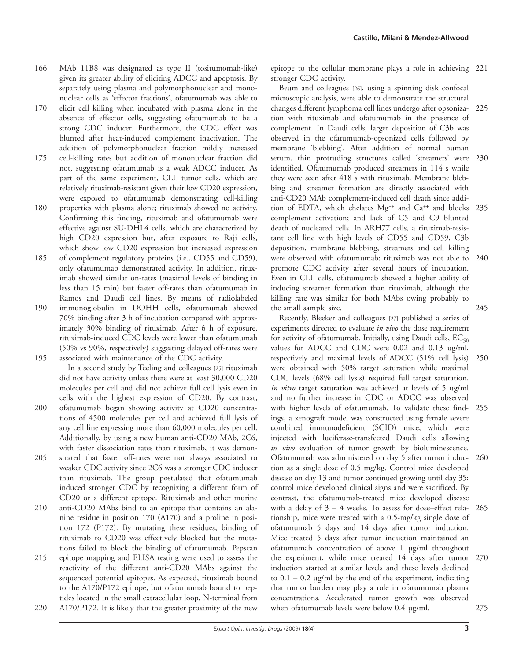- MAb 11B8 was designated as type II (tositumomab-like) given its greater ability of eliciting ADCC and apoptosis. By separately using plasma and polymorphonuclear and mononuclear cells as 'effector fractions', ofatumumab was able to 166
- elicit cell killing when incubated with plasma alone in the absence of effector cells, suggesting ofatumumab to be a strong CDC inducer. Furthermore, the CDC effect was blunted after heat-induced complement inactivation. The addition of polymorphonuclear fraction mildly increased 170
- cell-killing rates but addition of mononuclear fraction did not, suggesting ofatumumab is a weak ADCC inducer. As part of the same experiment, CLL tumor cells, which are relatively rituximab-resistant given their low CD20 expression, were exposed to ofatumumab demonstrating cell-killing 175
- properties with plasma alone; rituximab showed no activity. Confirming this finding, rituximab and ofatumumab were effective against SU-DHL4 cells, which are characterized by high CD20 expression but, after exposure to Raji cells, which show low CD20 expression but increased expression 180
- of complement regulatory proteins (i.e., CD55 and CD59), only ofatumumab demonstrated activity. In addition, rituximab showed similar on-rates (maximal levels of binding in less than 15 min) but faster off-rates than ofatumumab in Ramos and Daudi cell lines. By means of radiolabeled 185
- immunoglobulin in DOHH cells, ofatumumab showed 70% binding after 3 h of incubation compared with approximately 30% binding of rituximab. After 6 h of exposure, rituximab-induced CDC levels were lower than ofatumumab (50% vs 90%, respectively) suggesting delayed off-rates were associated with maintenance of the CDC activity. 190 195

In a second study by Teeling and colleagues [25] rituximab did not have activity unless there were at least 30,000 CD20 molecules per cell and did not achieve full cell lysis even in cells with the highest expression of CD20. By contrast,

- ofatumumab began showing activity at CD20 concentrations of 4500 molecules per cell and achieved full lysis of any cell line expressing more than 60,000 molecules per cell. Additionally, by using a new human anti-CD20 MAb, 2C6, with faster dissociation rates than rituximab, it was demon-200
- strated that faster off-rates were not always associated to weaker CDC activity since 2C6 was a stronger CDC inducer than rituximab. The group postulated that ofatumumab induced stronger CDC by recognizing a different form of CD20 or a different epitope. Rituximab and other murine 205
- anti-CD20 MAbs bind to an epitope that contains an alanine residue in position 170 (A170) and a proline in position 172 (P172). By mutating these residues, binding of rituximab to CD20 was effectively blocked but the mutations failed to block the binding of ofatumumab. Pepscan 210
- epitope mapping and ELISA testing were used to assess the reactivity of the different anti-CD20 MAbs against the sequenced potential epitopes. As expected, rituximab bound to the A170/P172 epitope, but ofatumumab bound to peptides located in the small extracellular loop, N-terminal from A170/P172. It is likely that the greater proximity of the new 215 220

epitope to the cellular membrane plays a role in achieving 221 stronger CDC activity.

Beum and colleagues [26], using a spinning disk confocal microscopic analysis, were able to demonstrate the structural changes different lymphoma cell lines undergo after opsonization with rituximab and ofatumumab in the presence of complement. In Daudi cells, larger deposition of C3b was observed in the ofatumumab-opsonized cells followed by membrane 'blebbing'. After addition of normal human serum, thin protruding structures called 'streamers' were identified. Ofatumumab produced streamers in 114 s while they were seen after 418 s with rituximab. Membrane blebbing and streamer formation are directly associated with anti-CD20 MAb complement-induced cell death since addition of EDTA, which chelates Mg<sup>++</sup> and Ca<sup>++</sup> and blocks 235 complement activation; and lack of C5 and C9 blunted death of nucleated cells. In ARH77 cells, a rituximab-resistant cell line with high levels of CD55 and CD59, C3b deposition, membrane blebbing, streamers and cell killing were observed with ofatumumab; rituximab was not able to 240 promote CDC activity after several hours of incubation. Even in CLL cells, ofatumumab showed a higher ability of inducing streamer formation than rituximab, although the killing rate was similar for both MAbs owing probably to the small sample size. 225 230 245

Recently, Bleeker and colleagues [27] published a series of experiments directed to evaluate *in vivo* the dose requirement for activity of ofatumumab. Initially, using Daudi cells,  $EC_{50}$ values for ADCC and CDC were 0.02 and 0.13 ug/ml, respectively and maximal levels of ADCC (51% cell lysis) 250 were obtained with 50% target saturation while maximal CDC levels (68% cell lysis) required full target saturation. *In vitro* target saturation was achieved at levels of 5 ug/ml and no further increase in CDC or ADCC was observed with higher levels of ofatumumab. To validate these find-255 ings, a xenograft model was constructed using female severe combined immunodeficient (SCID) mice, which were injected with luciferase-transfected Daudi cells allowing *in vivo* evaluation of tumor growth by bioluminescence. Ofatumumab was administered on day 5 after tumor induction as a single dose of 0.5 mg/kg. Control mice developed disease on day 13 and tumor continued growing until day 35; control mice developed clinical signs and were sacrificed. By contrast, the ofatumumab-treated mice developed disease with a delay of  $3 - 4$  weeks. To assess for dose-effect relationship, mice were treated with a 0.5-mg/kg single dose of ofatumumab 5 days and 14 days after tumor induction. Mice treated 5 days after tumor induction maintained an ofatumumab concentration of above 1 µg/ml throughout the experiment, while mice treated 14 days after tumor 270 induction started at similar levels and these levels declined to  $0.1 - 0.2$  µg/ml by the end of the experiment, indicating that tumor burden may play a role in ofatumumab plasma concentrations. Accelerated tumor growth was observed when ofatumumab levels were below 0.4 µg/ml. 260 265 275

*Expert Opin. Investig. Drugs* (2009) **18**(4) **3**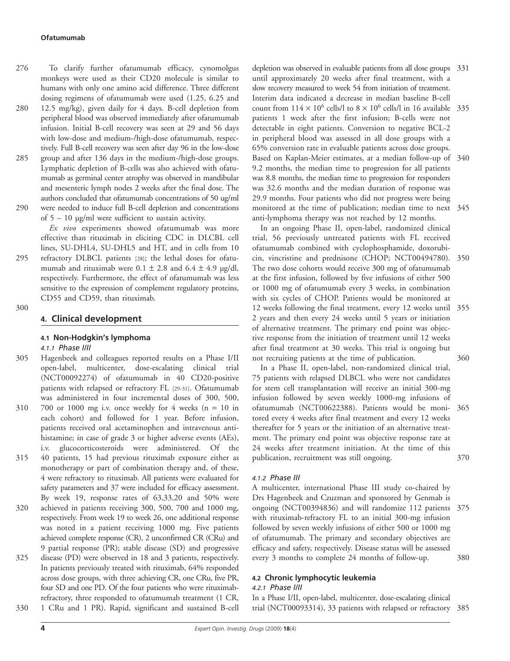- To clarify further ofatumumab efficacy, cynomolgus monkeys were used as their CD20 molecule is similar to humans with only one amino acid difference. Three different dosing regimens of ofatumumab were used (1.25, 6.25 and 276
- 12.5 mg/kg), given daily for 4 days. B-cell depletion from peripheral blood was observed immediately after ofatumumab infusion. Initial B-cell recovery was seen at 29 and 56 days with low-dose and medium-/high-dose ofatumumab, respectively. Full B-cell recovery was seen after day 96 in the low-dose group and after 136 days in the medium-/high-dose groups. 280 285
- Lymphatic depletion of B-cells was also achieved with ofatumumab as germinal center atrophy was observed in mandibular and mesenteric lymph nodes 2 weeks after the final dose. The authors concluded that ofatumumab concentrations of 50 ug/ml were needed to induce full B-cell depletion and concentrations 290

of  $5 - 10$  ug/ml were sufficient to sustain activity.

295

*Ex vivo* experiments showed ofatumumab was more effective than rituximab in eliciting CDC in DLCBL cell lines, SU-DHL4, SU-DHL5 and HT, and in cells from 10 refractory DLBCL patients [28]; the lethal doses for ofatumumab and rituximab were  $0.1 \pm 2.8$  and  $6.4 \pm 4.9$  µg/dl, respectively. Furthermore, the effect of ofatumumab was less sensitive to the expression of complement regulatory proteins, CD55 and CD59, than rituximab.

300

# **4. Clinical development**

# **4.1 Non-Hodgkin's lymphoma**

*4.1.1 Phase I/II*

- Hagenbeek and colleagues reported results on a Phase I/II open-label, multicenter, dose-escalating clinical trial (NCT00092274) of ofatumumab in 40 CD20-positive patients with relapsed or refractory FL [29-31]. Ofatumumab was administered in four incremental doses of 300, 500, 700 or 1000 mg i.v. once weekly for 4 weeks  $(n = 10$  in each cohort) and followed for 1 year. Before infusion, patients received oral acetaminophen and intravenous antihistamine; in case of grade 3 or higher adverse events (AEs), i.v. glucocorticosteroids were administered. Of the 40 patients, 15 had previous rituximab exposure either as monotherapy or part of combination therapy and, of these, 305 310 315
- 4 were refractory to rituximab. All patients were evaluated for safety parameters and 37 were included for efficacy assessment. By week 19, response rates of 63,33,20 and 50% were achieved in patients receiving 300, 500, 700 and 1000 mg, 320
- respectively. From week 19 to week 26, one additional response was noted in a patient receiving 1000 mg. Five patients achieved complete response (CR), 2 unconfirmed CR (CRu) and 9 partial response (PR); stable disease (SD) and progressive
- disease (PD) were observed in 18 and 3 patients, respectively. In patients previously treated with rituximab, 64% responded across dose groups, with three achieving CR, one CRu, five PR, four SD and one PD. Of the four patients who were rituximabrefractory, three responded to ofatumumab treatment (1 CR, 325 330
	- 1 CRu and 1 PR). Rapid, significant and sustained B-cell

depletion was observed in evaluable patients from all dose groups 331 until approximately 20 weeks after final treatment, with a slow recovery measured to week 54 from initiation of treatment. Interim data indicated a decrease in median baseline B-cell

count from  $114 \times 10^6$  cells/l to  $8 \times 10^6$  cells/l in 16 available 335 patients 1 week after the first infusion; B-cells were not detectable in eight patients. Conversion to negative BCL-2 in peripheral blood was assessed in all dose groups with a 65% conversion rate in evaluable patients across dose groups. Based on Kaplan-Meier estimates, at a median follow-up of 340 9.2 months, the median time to progression for all patients was 8.8 months, the median time to progression for responders was 32.6 months and the median duration of response was 29.9 months. Four patients who did not progress were being monitored at the time of publication; median time to next 345 anti-lymphoma therapy was not reached by 12 months.

In an ongoing Phase II, open-label, randomized clinical trial, 56 previously untreated patients with FL received ofatumumab combined with cyclophosphamide, doxorubicin, vincristine and prednisone (CHOP; NCT00494780). 350 The two dose cohorts would receive 300 mg of ofatumumab at the first infusion, followed by five infusions of either 500 or 1000 mg of ofatumumab every 3 weeks, in combination with six cycles of CHOP. Patients would be monitored at 12 weeks following the final treatment, every 12 weeks until 355 2 years and then every 24 weeks until 5 years or initiation of alternative treatment. The primary end point was objective response from the initiation of treatment until 12 weeks after final treatment at 30 weeks. This trial is ongoing but not recruiting patients at the time of publication. 360

In a Phase II, open-label, non-randomized clinical trial, 75 patients with relapsed DLBCL who were not candidates for stem cell transplantation will receive an initial 300-mg infusion followed by seven weekly 1000-mg infusions of ofatumumab (NCT00622388). Patients would be moni-365 tored every 4 weeks after final treatment and every 12 weeks thereafter for 5 years or the initiation of an alternative treatment. The primary end point was objective response rate at 24 weeks after treatment initiation. At the time of this publication, recruitment was still ongoing. 370

# *4.1.2 Phase III*

A multicenter, international Phase III study co-chaired by Drs Hagenbeek and Czuzman and sponsored by Genmab is ongoing (NCT00394836) and will randomize 112 patients 375 with rituximab-refractory FL to an initial 300-mg infusion followed by seven weekly infusions of either 500 or 1000 mg of ofatumumab. The primary and secondary objectives are efficacy and safety, respectively. Disease status will be assessed every 3 months to complete 24 months of follow-up. 380

# **4.2 Chronic lymphocytic leukemia**

# *4.2.1 Phase I/II*

In a Phase I/II, open-label, multicenter, dose-escalating clinical trial (NCT00093314), 33 patients with relapsed or refractory 385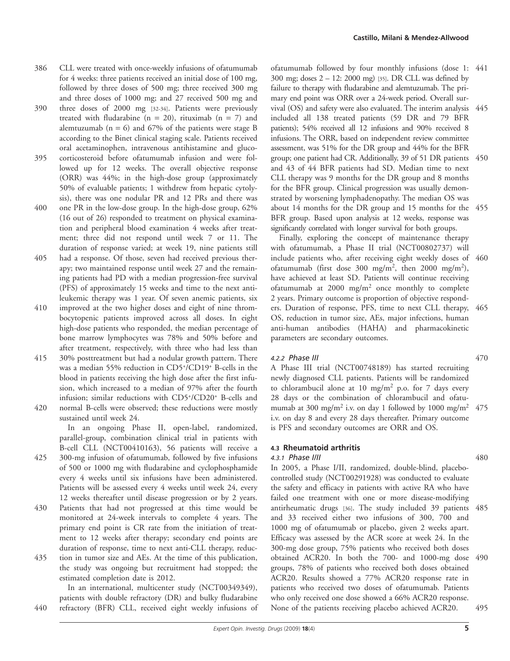- CLL were treated with once-weekly infusions of ofatumumab for 4 weeks: three patients received an initial dose of 100 mg, followed by three doses of 500 mg; three received 300 mg and three doses of 1000 mg; and 27 received 500 mg and 386
- three doses of 2000 mg [32-34]. Patients were previously treated with fludarabine ( $n = 20$ ), rituximab ( $n = 7$ ) and alemtuzumab ( $n = 6$ ) and 67% of the patients were stage B according to the Binet clinical staging scale. Patients received oral acetaminophen, intravenous antihistamine and gluco-390
- corticosteroid before ofatumumab infusion and were followed up for 12 weeks. The overall objective response (ORR) was 44%; in the high-dose group (approximately 50% of evaluable patients; 1 withdrew from hepatic cytolysis), there was one nodular PR and 12 PRs and there was 395
- one PR in the low-dose group. In the high-dose group, 62% (16 out of 26) responded to treatment on physical examination and peripheral blood examination 4 weeks after treatment; three did not respond until week 7 or 11. The duration of response varied; at week 19, nine patients still 400
- had a response. Of those, seven had received previous therapy; two maintained response until week 27 and the remaining patients had PD with a median progression-free survival (PFS) of approximately 15 weeks and time to the next antileukemic therapy was 1 year. Of seven anemic patients, six 405
- improved at the two higher doses and eight of nine thrombocytopenic patients improved across all doses. In eight high-dose patients who responded, the median percentage of bone marrow lymphocytes was 78% and 50% before and after treatment, respectively, with three who had less than 410
- 30% posttreatment but had a nodular growth pattern. There was a median 55% reduction in CD5+/CD19+ B-cells in the blood in patients receiving the high dose after the first infusion, which increased to a median of 97% after the fourth infusion; similar reductions with CD5+/CD20+ B-cells and 415
- normal B-cells were observed; these reductions were mostly sustained until week 24. 420

In an ongoing Phase II, open-label, randomized, parallel-group, combination clinical trial in patients with B-cell CLL (NCT00410163), 56 patients will receive a

- 300-mg infusion of ofatumumab, followed by five infusions of 500 or 1000 mg with fludarabine and cyclophosphamide every 4 weeks until six infusions have been administered. Patients will be assessed every 4 weeks until week 24, every 12 weeks thereafter until disease progression or by 2 years. 425
- Patients that had not progressed at this time would be monitored at 24-week intervals to complete 4 years. The primary end point is CR rate from the initiation of treatment to 12 weeks after therapy; secondary end points are duration of response, time to next anti-CLL therapy, reduc-430
- tion in tumor size and AEs. At the time of this publication, the study was ongoing but recruitment had stopped; the estimated completion date is 2012. 435

In an international, multicenter study (NCT00349349), patients with double refractory (DR) and bulky fludarabine refractory (BFR) CLL, received eight weekly infusions of 440

ofatumumab followed by four monthly infusions (dose 1: 441 300 mg; doses 2 – 12: 2000 mg) [35]. DR CLL was defined by failure to therapy with fludarabine and alemtuzumab. The primary end point was ORR over a 24-week period. Overall survival (OS) and safety were also evaluated. The interim analysis 445 included all 138 treated patients (59 DR and 79 BFR patients); 54% received all 12 infusions and 90% received 8 infusions. The ORR, based on independent review committee assessment, was 51% for the DR group and 44% for the BFR group; one patient had CR. Additionally, 39 of 51 DR patients and 43 of 44 BFR patients had SD. Median time to next CLL therapy was 9 months for the DR group and 8 months for the BFR group. Clinical progression was usually demonstrated by worsening lymphadenopathy. The median OS was about 14 months for the DR group and 15 months for the 455 BFR group. Based upon analysis at 12 weeks, response was significantly correlated with longer survival for both groups. 450

Finally, exploring the concept of maintenance therapy with ofatumumab, a Phase II trial (NCT00802737) will include patients who, after receiving eight weekly doses of 460 ofatumumab (first dose 300 mg/m<sup>2</sup>, then 2000 mg/m<sup>2</sup>), have achieved at least SD. Patients will continue receiving ofatumumab at  $2000 \text{ mg/m}^2$  once monthly to complete 2 years. Primary outcome is proportion of objective responders. Duration of response, PFS, time to next CLL therapy, OS, reduction in tumor size, AEs, major infections, human anti-human antibodies (HAHA) and pharmacokinetic parameters are secondary outcomes. 465

# *4.2.2 Phase III*

A Phase III trial (NCT00748189) has started recruiting newly diagnosed CLL patients. Patients will be randomized to chlorambucil alone at 10 mg/m<sup>2</sup> p.o. for 7 days every 28 days or the combination of chlorambucil and ofatumumab at 300 mg/m<sup>2</sup> i.v. on day 1 followed by 1000 mg/m<sup>2</sup> i.v. on day 8 and every 28 days thereafter. Primary outcome is PFS and secondary outcomes are ORR and OS. 475

# **4.3 Rheumatoid arthritis**

# *4.3.1 Phase I/II*

In 2005, a Phase I/II, randomized, double-blind, placebocontrolled study (NCT00291928) was conducted to evaluate the safety and efficacy in patients with active RA who have failed one treatment with one or more disease-modifying antirheumatic drugs [36]. The study included 39 patients and 33 received either two infusions of 300, 700 and 1000 mg of ofatumumab or placebo, given 2 weeks apart. Efficacy was assessed by the ACR score at week 24. In the 300-mg dose group, 75% patients who received both doses obtained ACR20. In both the 700- and 1000-mg dose 490 groups, 78% of patients who received both doses obtained ACR20. Results showed a 77% ACR20 response rate in patients who received two doses of ofatumumab. Patients who only received one dose showed a 66% ACR20 response. None of the patients receiving placebo achieved ACR20. 485 495

# 470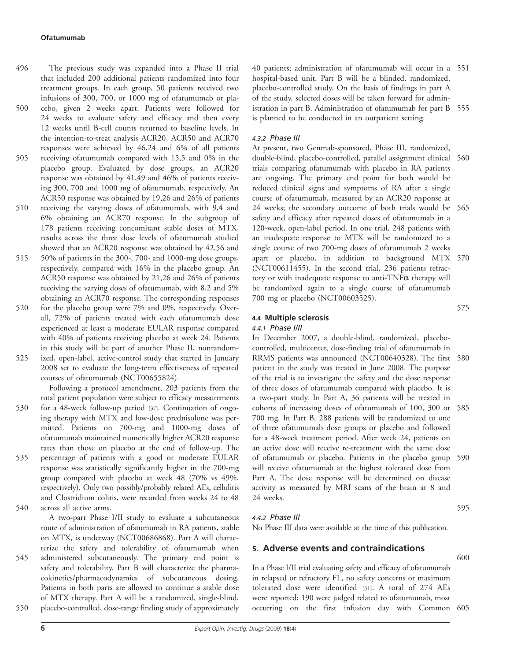- The previous study was expanded into a Phase II trial that included 200 additional patients randomized into four treatment groups. In each group, 50 patients received two infusions of 300, 700, or 1000 mg of ofatumumab or placebo, given 2 weeks apart. Patients were followed for 496 500
- 24 weeks to evaluate safety and efficacy and then every 12 weeks until B-cell counts returned to baseline levels. In the intention-to-treat analysis ACR20, ACR50 and ACR70 responses were achieved by 46,24 and 6% of all patients receiving ofatumumab compared with 15,5 and 0% in the placebo group. Evaluated by dose groups, an ACR20 response was obtained by 41,49 and 46% of patients receiving 300, 700 and 1000 mg of ofatumumab, respectively. An ACR50 response was obtained by 19,26 and 26% of patients 505
- receiving the varying doses of ofatumumab, with 9,4 and 6% obtaining an ACR70 response. In the subgroup of 178 patients receiving concomitant stable doses of MTX, results across the three dose levels of ofatumumab studied showed that an ACR20 response was obtained by 42,56 and 510
- 50% of patients in the 300-, 700- and 1000-mg dose groups, respectively, compared with 16% in the placebo group. An ACR50 response was obtained by 21,26 and 26% of patients receiving the varying doses of ofatumumab, with 8,2 and 5% obtaining an ACR70 response. The corresponding responses 515
- for the placebo group were 7% and 0%, respectively. Overall, 72% of patients treated with each ofatumumab dose experienced at least a moderate EULAR response compared with 40% of patients receiving placebo at week 24. Patients in this study will be part of another Phase II, nonrandom-520
- ized, open-label, active-control study that started in January 2008 set to evaluate the long-term effectiveness of repeated courses of ofatumumab (NCT00655824). 525

Following a protocol amendment, 203 patients from the total patient population were subject to efficacy measurements for a 48-week follow-up period [37]. Continuation of ongoing therapy with MTX and low-dose prednisolone was permitted. Patients on 700-mg and 1000-mg doses of ofatumumab maintained numerically higher ACR20 response rates than those on placebo at the end of follow-up. The

percentage of patients with a good or moderate EULAR response was statistically significantly higher in the 700-mg group compared with placebo at week 48 (70% vs 49%, respectively). Only two possibly/probably related AEs, cellulitis and Clostridium colitis, were recorded from weeks 24 to 48 across all active arms. 535 540

> A two-part Phase I/II study to evaluate a subcutaneous route of administration of ofatumumab in RA patients, stable on MTX, is underway (NCT00686868). Part A will characterize the safety and tolerability of ofatumumab when

administered subcutaneously. The primary end point is safety and tolerability. Part B will characterize the pharmacokinetics/pharmacodynamics of subcutaneous dosing. Patients in both parts are allowed to continue a stable dose of MTX therapy. Part A will be a randomized, single-blind, placebo-controlled, dose-range finding study of approximately 545 550

40 patients; administration of ofatumumab will occur in a 551 hospital-based unit. Part B will be a blinded, randomized, placebo-controlled study. On the basis of findings in part A of the study, selected doses will be taken forward for administration in part B. Administration of ofatumumab for part B 555 is planned to be conducted in an outpatient setting.

# *4.3.2 Phase III*

At present, two Genmab-sponsored, Phase III, randomized, double-blind, placebo-controlled, parallel assignment clinical 560 trials comparing ofatumumab with placebo in RA patients are ongoing. The primary end point for both would be reduced clinical signs and symptoms of RA after a single course of ofatumumab, measured by an ACR20 response at 24 weeks; the secondary outcome of both trials would be 565 safety and efficacy after repeated doses of ofatumumab in a 120-week, open-label period. In one trial, 248 patients with an inadequate response to MTX will be randomized to a single course of two 700-mg doses of ofatumumab 2 weeks apart or placebo, in addition to background MTX 570 (NCT00611455). In the second trial, 236 patients refractory or with inadequate response to anti-TNF $\alpha$  therapy will be randomized again to a single course of ofatumumab 700 mg or placebo (NCT00603525).

# **4.4 Multiple sclerosis**

*4.4.1 Phase I/II*

In December 2007, a double-blind, randomized, placebocontrolled, multicenter, dose-finding trial of ofatumumab in RRMS patients was announced (NCT00640328). The first 580 patient in the study was treated in June 2008. The purpose of the trial is to investigate the safety and the dose response of three doses of ofatumumab compared with placebo. It is a two-part study. In Part A, 36 patients will be treated in cohorts of increasing doses of ofatumumab of 100, 300 or 585 700 mg. In Part B, 288 patients will be randomized to one of three ofatumumab dose groups or placebo and followed for a 48-week treatment period. After week 24, patients on an active dose will receive re-treatment with the same dose of ofatumumab or placebo. Patients in the placebo group 590 will receive ofatumumab at the highest tolerated dose from Part A. The dose response will be determined on disease activity as measured by MRI scans of the brain at 8 and 24 weeks.

# *4.4.2 Phase III*

No Phase III data were available at the time of this publication.

# **5. Adverse events and contraindications**

In a Phase I/II trial evaluating safety and efficacy of ofatumumab in relapsed or refractory FL, no safety concerns or maximum tolerated dose were identified [31]. A total of 274 AEs were reported; 190 were judged related to ofatumumab, most occurring on the first infusion day with Common 605

575

600

595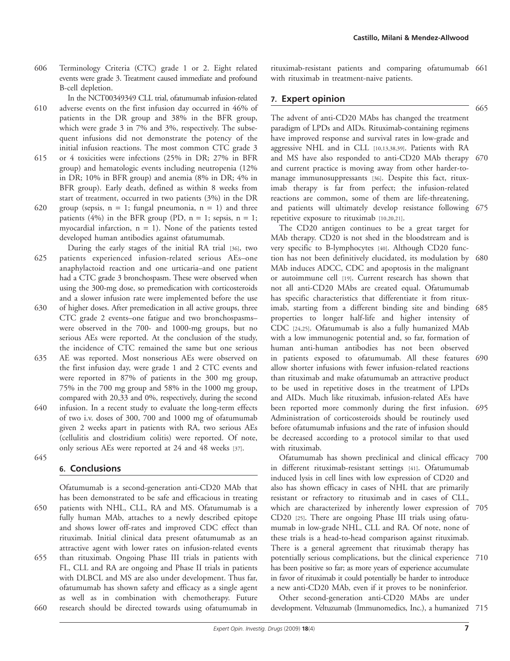Terminology Criteria (CTC) grade 1 or 2. Eight related events were grade 3. Treatment caused immediate and profound B-cell depletion. 606

In the NCT00349349 CLL trial, ofatumumab infusion-related

- adverse events on the first infusion day occurred in 46% of patients in the DR group and 38% in the BFR group, which were grade 3 in 7% and 3%, respectively. The subsequent infusions did not demonstrate the potency of the initial infusion reactions. The most common CTC grade 3 610
- or 4 toxicities were infections (25% in DR; 27% in BFR group) and hematologic events including neutropenia (12% in DR; 10% in BFR group) and anemia (8% in DR; 4% in BFR group). Early death, defined as within 8 weeks from start of treatment, occurred in two patients (3%) in the DR 615
- group (sepsis,  $n = 1$ ; fungal pneumonia,  $n = 1$ ) and three patients (4%) in the BFR group (PD,  $n = 1$ ; sepsis,  $n = 1$ ; myocardial infarction,  $n = 1$ ). None of the patients tested developed human antibodies against ofatumumab. 620
- During the early stages of the initial RA trial [36], two patients experienced infusion-related serious AEs–one anaphylactoid reaction and one urticaria–and one patient had a CTC grade 3 bronchospasm. These were observed when using the 300-mg dose, so premedication with corticosteroids and a slower infusion rate were implemented before the use 625
- of higher doses. After premedication in all active groups, three CTC grade 2 events–one fatigue and two bronchospasms– were observed in the 700- and 1000-mg groups, but no serious AEs were reported. At the conclusion of the study, the incidence of CTC remained the same but one serious 630
- AE was reported. Most nonserious AEs were observed on the first infusion day, were grade 1 and 2 CTC events and were reported in 87% of patients in the 300 mg group, 75% in the 700 mg group and 58% in the 1000 mg group, compared with 20,33 and 0%, respectively, during the second infusion. In a recent study to evaluate the long-term effects 635 640
- of two i.v. doses of 300, 700 and 1000 mg of ofatumumab given 2 weeks apart in patients with RA, two serious AEs (cellulitis and clostridium colitis) were reported. Of note, only serious AEs were reported at 24 and 48 weeks [37]. 645

# **6. Conclusions**

Ofatumumab is a second-generation anti-CD20 MAb that has been demonstrated to be safe and efficacious in treating patients with NHL, CLL, RA and MS. Ofatumumab is a fully human MAb, attaches to a newly described epitope and shows lower off-rates and improved CDC effect than rituximab. Initial clinical data present ofatumumab as an attractive agent with lower rates on infusion-related events than rituximab. Ongoing Phase III trials in patients with FL, CLL and RA are ongoing and Phase II trials in patients with DLBCL and MS are also under development. Thus far, ofatumumab has shown safety and efficacy as a single agent as well as in combination with chemotherapy. Future research should be directed towards using ofatumumab in 650 655 660

rituximab-resistant patients and comparing ofatumumab 661 with rituximab in treatment-naive patients.

# **7. Expert opinion**

The advent of anti-CD20 MAbs has changed the treatment paradigm of LPDs and AIDs. Rituximab-containing regimens have improved response and survival rates in low-grade and aggressive NHL and in CLL [10,13,38,39]. Patients with RA and MS have also responded to anti-CD20 MAb therapy 670 and current practice is moving away from other harder-tomanage immunosuppressants [36]. Despite this fact, rituximab therapy is far from perfect; the infusion-related reactions are common, some of them are life-threatening, and patients will ultimately develop resistance following 675 repetitive exposure to rituximab [10,20,21].

The CD20 antigen continues to be a great target for MAb therapy. CD20 is not shed in the bloodstream and is very specific to B-lymphocytes [40]. Although CD20 function has not been definitively elucidated, its modulation by 680 MAb induces ADCC, CDC and apoptosis in the malignant or autoimmune cell [19]. Current research has shown that not all anti-CD20 MAbs are created equal. Ofatumumab has specific characteristics that differentiate it from rituximab, starting from a different binding site and binding 685 properties to longer half-life and higher intensity of CDC [24,25]. Ofatumumab is also a fully humanized MAb with a low immunogenic potential and, so far, formation of human anti-human antibodies has not been observed in patients exposed to ofatumumab. All these features 690 allow shorter infusions with fewer infusion-related reactions than rituximab and make ofatumumab an attractive product to be used in repetitive doses in the treatment of LPDs and AIDs. Much like rituximab, infusion-related AEs have been reported more commonly during the first infusion. 695 Administration of corticosteroids should be routinely used before ofatumumab infusions and the rate of infusion should be decreased according to a protocol similar to that used with rituximab.

Ofatumumab has shown preclinical and clinical efficacy in different rituximab-resistant settings [41]. Ofatumumab induced lysis in cell lines with low expression of CD20 and also has shown efficacy in cases of NHL that are primarily resistant or refractory to rituximab and in cases of CLL, which are characterized by inherently lower expression of 705 CD20 [25]. There are ongoing Phase III trials using ofatumumab in low-grade NHL, CLL and RA. Of note, none of these trials is a head-to-head comparison against rituximab. There is a general agreement that rituximab therapy has potentially serious complications, but the clinical experience 710 has been positive so far; as more years of experience accumulate in favor of rituximab it could potentially be harder to introduce a new anti-CD20 MAb, even if it proves to be noninferior. 700

Other second-generation anti-CD20 MAbs are under development. Veltuzumab (Immunomedics, Inc.), a humanized 715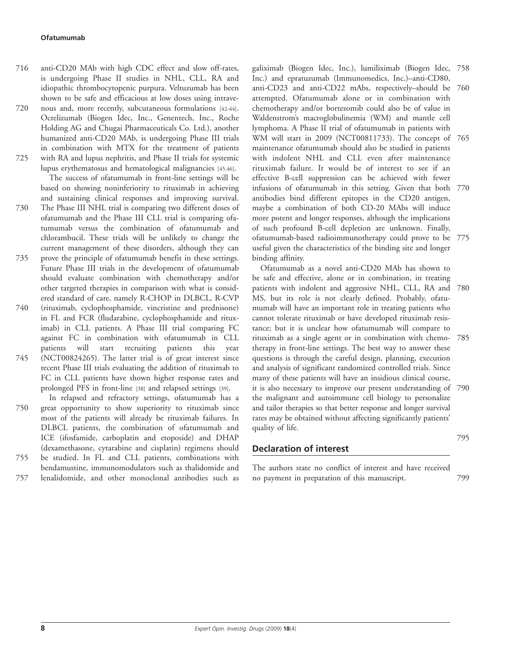- anti-CD20 MAb with high CDC effect and slow off-rates, is undergoing Phase II studies in NHL, CLL, RA and idiopathic thrombocytopenic purpura. Veltuzumab has been shown to be safe and efficacious at low doses using intravenous and, more recently, subcutaneous formulations [42-44]. 716 720
- Ocrelizumab (Biogen Idec, Inc., Genentech, Inc., Roche Holding AG and Chugai Pharmaceuticals Co. Ltd.), another humanized anti-CD20 MAb, is undergoing Phase III trials in combination with MTX for the treatment of patients with RA and lupus nephritis, and Phase II trials for systemic lupus erythematosus and hematological malignancies [45,46]. 725

The success of ofatumumab in front-line settings will be based on showing noninferiority to rituximab in achieving and sustaining clinical responses and improving survival. The Phase III NHL trial is comparing two different doses of

- ofatumumab and the Phase III CLL trial is comparing ofatumumab versus the combination of ofatumumab and chlorambucil. These trials will be unlikely to change the current management of these disorders, although they can 730
- prove the principle of ofatumumab benefit in these settings. Future Phase III trials in the development of ofatumumab should evaluate combination with chemotherapy and/or other targeted therapies in comparison with what is considered standard of care, namely R-CHOP in DLBCL, R-CVP 735
- (rituximab, cyclophosphamide, vincristine and prednisone) in FL and FCR (fludarabine, cyclophosphamide and rituximab) in CLL patients. A Phase III trial comparing FC against FC in combination with ofatumumab in CLL patients will start recruiting patients this year (NCT00824265). The latter trial is of great interest since recent Phase III trials evaluating the addition of rituximab to FC in CLL patients have shown higher response rates and 740 745
- prolonged PFS in front-line [38] and relapsed settings [39]. In relapsed and refractory settings, ofatumumab has a great opportunity to show superiority to rituximab since most of the patients will already be rituximab failures. In DLBCL patients, the combination of ofatumumab and ICE (ifosfamide, carboplatin and etoposide) and DHAP 750
- (dexamethasone, cytarabine and cisplatin) regimens should be studied. In FL and CLL patients, combinations with 755
- bendamustine, immunomodulators such as thalidomide and lenalidomide, and other monoclonal antibodies such as 757

galiximab (Biogen Idec, Inc.), lumiliximab (Biogen Idec, 758 Inc.) and epratuzumab (Immunomedics, Inc.)–anti-CD80, anti-CD23 and anti-CD22 mAbs, respectively–should be 760 attempted. Ofatumumab alone or in combination with chemotherapy and/or bortezomib could also be of value in Waldenstrom's macroglobulinemia (WM) and mantle cell lymphoma. A Phase II trial of ofatumumab in patients with WM will start in 2009 (NCT00811733). The concept of 765

maintenance ofatumumab should also be studied in patients with indolent NHL and CLL even after maintenance rituximab failure. It would be of interest to see if an effective B-cell suppression can be achieved with fewer infusions of ofatumumab in this setting. Given that both 770 antibodies bind different epitopes in the CD20 antigen, maybe a combination of both CD-20 MAbs will induce more potent and longer responses, although the implications of such profound B-cell depletion are unknown. Finally, ofatumumab-based radioimmunotherapy could prove to be 775 useful given the characteristics of the binding site and longer

binding affinity. Ofatumumab as a novel anti-CD20 MAb has shown to be safe and effective, alone or in combination, in treating patients with indolent and aggressive NHL, CLL, RA and 780 MS, but its role is not clearly defined. Probably, ofatumumab will have an important role in treating patients who cannot tolerate rituximab or have developed rituximab resistance; but it is unclear how ofatumumab will compare to rituximab as a single agent or in combination with chemo-785 therapy in front-line settings. The best way to answer these questions is through the careful design, planning, execution and analysis of significant randomized controlled trials. Since many of these patients will have an insidious clinical course, it is also necessary to improve our present understanding of 790 the malignant and autoimmune cell biology to personalize and tailor therapies so that better response and longer survival rates may be obtained without affecting significantly patients' quality of life.

# **Declaration of interest**

The authors state no conflict of interest and have received no payment in preparation of this manuscript.

795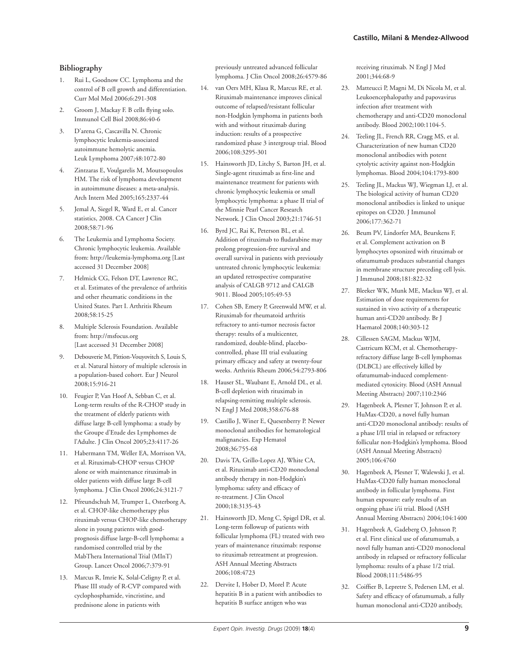# **Bibliography**

- 1. Rui L, Goodnow CC. Lymphoma and the control of B cell growth and differentiation. Curr Mol Med 2006;6:291-308
- 2. Groom J, Mackay F. B cells flying solo. Immunol Cell Biol 2008;86:40-6
- 3. D'arena G, Cascavilla N. Chronic lymphocytic leukemia-associated autoimmune hemolytic anemia. Leuk Lymphoma 2007;48:1072-80
- 4. Zintzaras E, Voulgarelis M, Moutsopoulos HM. The risk of lymphoma development in autoimmune diseases: a meta-analysis. Arch Intern Med 2005;165:2337-44
- 5. Jemal A, Siegel R, Ward E, et al. Cancer statistics, 2008. CA Cancer J Clin 2008;58:71-96
- 6. The Leukemia and Lymphoma Society. Chronic lymphocytic leukemia. Available from: http://leukemia-lymphoma.org [Last accessed 31 December 2008]
- 7. Helmick CG, Felson DT, Lawrence RC, et al. Estimates of the prevalence of arthritis and other rheumatic conditions in the United States. Part I. Arthritis Rheum 2008;58:15-25
- 8. Multiple Sclerosis Foundation. Available from: http://msfocus.org [Last accessed 31 December 2008]
- 9. Debouverie M, Pittion-Vouyovitch S, Louis S, et al. Natural history of multiple sclerosis in a population-based cohort. Eur J Neurol 2008;15:916-21
- 10. Feugier P, Van Hoof A, Sebban C, et al. Long-term results of the R-CHOP study in the treatment of elderly patients with diffuse large B-cell lymphoma: a study by the Groupe d'Etude des Lymphomes de l'Adulte. J Clin Oncol 2005;23:4117-26
- 11. Habermann TM, Weller EA, Morrison VA, et al. Rituximab-CHOP versus CHOP alone or with maintenance rituximab in older patients with diffuse large B-cell lymphoma. J Clin Oncol 2006;24:3121-7
- 12. Pfreundschuh M, Trumper L, Osterborg A, et al. CHOP-like chemotherapy plus rituximab versus CHOP-like chemotherapy alone in young patients with goodprognosis diffuse large-B-cell lymphoma: a randomised controlled trial by the MabThera International Trial (MInT) Group. Lancet Oncol 2006;7:379-91
- 13. Marcus R, Imrie K, Solal-Celigny P, et al. Phase III study of R-CVP compared with cyclophosphamide, vincristine, and prednisone alone in patients with

previously untreated advanced follicular lymphoma. J Clin Oncol 2008;26:4579-86

- 14. van Oers MH, Klasa R, Marcus RE, et al. Rituximab maintenance improves clinical outcome of relapsed/resistant follicular non-Hodgkin lymphoma in patients both with and without rituximab during induction: results of a prospective randomized phase 3 intergroup trial. Blood 2006;108:3295-301
- 15. Hainsworth JD, Litchy S, Barton JH, et al. Single-agent rituximab as first-line and maintenance treatment for patients with chronic lymphocytic leukemia or small lymphocytic lymphoma: a phase II trial of the Minnie Pearl Cancer Research Network. J Clin Oncol 2003;21:1746-51
- 16. Byrd JC, Rai K, Peterson BL, et al. Addition of rituximab to fludarabine may prolong progression-free survival and overall survival in patients with previously untreated chronic lymphocytic leukemia: an updated retrospective comparative analysis of CALGB 9712 and CALGB 9011. Blood 2005;105:49-53
- 17. Cohen SB, Emery P, Greenwald MW, et al. Rituximab for rheumatoid arthritis refractory to anti-tumor necrosis factor therapy: results of a multicenter, randomized, double-blind, placebocontrolled, phase III trial evaluating primary efficacy and safety at twenty-four weeks. Arthritis Rheum 2006;54:2793-806
- 18. Hauser SL, Waubant E, Arnold DL, et al. B-cell depletion with rituximab in relapsing-remitting multiple sclerosis. N Engl J Med 2008;358:676-88
- 19. Castillo J, Winer E, Quesenberry P. Newer monoclonal antibodies for hematological malignancies. Exp Hematol 2008;36:755-68
- 20. Davis TA, Grillo-Lopez AJ, White CA, et al. Rituximab anti-CD20 monoclonal antibody therapy in non-Hodgkin's lymphoma: safety and efficacy of re-treatment. J Clin Oncol 2000;18:3135-43
- 21. Hainsworth JD, Meng C, Spigel DR, et al. Long-term followup of patients with follicular lymphoma (FL) treated with two years of maintenance rituximab: response to rituximab retreatment at progression. ASH Annual Meeting Abstracts 2006;108:4723
- 22. Dervite I, Hober D, Morel P. Acute hepatitis B in a patient with antibodies to hepatitis B surface antigen who was

receiving rituximab. N Engl J Med 2001;344:68-9

- 23. Matteucci P, Magni M, Di Nicola M, et al. Leukoencephalopathy and papovavirus infection after treatment with chemotherapy and anti-CD20 monoclonal antibody. Blood 2002;100:1104-5.
- 24. Teeling JL, French RR, Cragg MS, et al. Characterization of new human CD20 monoclonal antibodies with potent cytolytic activity against non-Hodgkin lymphomas. Blood 2004;104:1793-800
- 25. Teeling JL, Mackus WJ, Wiegman LJ, et al. The biological activity of human CD20 monoclonal antibodies is linked to unique epitopes on CD20. J Immunol 2006;177:362-71
- 26. Beum PV, Lindorfer MA, Beurskens F, et al. Complement activation on B lymphocytes opsonized with rituximab or ofatumumab produces substantial changes in membrane structure preceding cell lysis. J Immunol 2008;181:822-32
- 27. Bleeker WK, Munk ME, Mackus WJ, et al. Estimation of dose requirements for sustained in vivo activity of a therapeutic human anti-CD20 antibody. Br J Haematol 2008;140:303-12
- 28. Cillessen SAGM, Mackus WJM, Castricum KCM, et al. Chemotherapyrefractory diffuse large B-cell lymphomas (DLBCL) are effectively killed by ofatumumab-induced complementmediated cytoxicity. Blood (ASH Annual Meeting Abstracts) 2007;110:2346
- 29. Hagenbeek A, Plesner T, Johnson P, et al. HuMax-CD20, a novel fully human anti-CD20 monoclonal antibody: results of a phase I/II trial in relapsed or refractory follicular non-Hodgkin's lymphoma. Blood (ASH Annual Meeting Abstracts) 2005;106:4760
- 30. Hagenbeek A, Plesner T, Walewski J, et al. HuMax-CD20 fully human monoclonal antibody in follicular lymphoma. First human exposure: early results of an ongoing phase i/ii trial. Blood (ASH Annual Meeting Abstracts) 2004;104:1400
- 31. Hagenbeek A, Gadeberg O, Johnson P, et al. First clinical use of ofatumumab, a novel fully human anti-CD20 monoclonal antibody in relapsed or refractory follicular lymphoma: results of a phase 1/2 trial. Blood 2008;111:5486-95
- 32. Coiffier B, Lepretre S, Pedersen LM, et al. Safety and efficacy of ofatumumab, a fully human monoclonal anti-CD20 antibody,